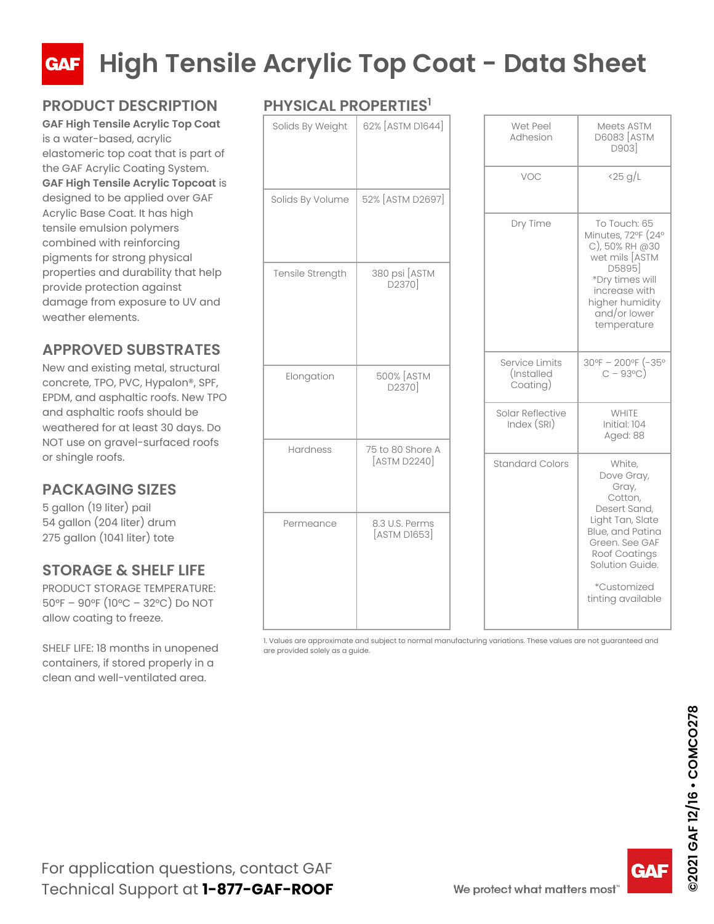

### **PRODUCT DESCRIPTION**

**GAF High Tensile Acrylic Top Coat** is a water-based, acrylic elastomeric top coat that is part of the GAF Acrylic Coating System. **GAF High Tensile Acrylic Topcoat** is designed to be applied over GAF Acrylic Base Coat. It has high tensile emulsion polymers combined with reinforcing pigments for strong physical properties and durability that help provide protection against damage from exposure to UV and weather elements.

#### **APPROVED SUBSTRATES**

New and existing metal, structural concrete, TPO, PVC, Hypalon®, SPF, EPDM, and asphaltic roofs. New TPO and asphaltic roofs should be weathered for at least 30 days. Do NOT use on gravel-surfaced roofs or shingle roofs.

#### **PACKAGING SIZES**

5 gallon (19 liter) pail 54 gallon (204 liter) drum 275 gallon (1041 liter) tote

#### **STORAGE & SHELF LIFE**

PRODUCT STORAGE TEMPERATURE: 50°F – 90°F (10°C – 32°C) Do NOT allow coating to freeze.

SHELF LIFE: 18 months in unopened containers, if stored properly in a clean and well-ventilated area.

#### **PHYSICAL PROPERTIES1**

| Solids By Weight | 62% [ASTM D1644]                 | Wet Peel<br>Adhesion                                         |
|------------------|----------------------------------|--------------------------------------------------------------|
|                  | 52% [ASTM D2697]                 | VOC                                                          |
| Solids By Volume |                                  | Dry Time                                                     |
| Tensile Strength | 380 psi [ASTM<br>D2370]          |                                                              |
| Elongation       | 500% [ASTM<br>D2370]             | Service Limits<br>(Installed<br>Coating)<br>Solar Reflective |
|                  |                                  | Index (SRI)                                                  |
| Hardness         | 75 to 80 Shore A<br>[ASTM D2240] | <b>Standard Colors</b>                                       |
| Permeance        | 8.3 U.S. Perms<br>[ASTM D1653]   |                                                              |

1. Values are approximate and subject to normal manufacturing variations. These values are not guaranteed and are provided solely as a guide.

| Wet Peel<br>Adhesion                     | Meets ASTM<br><b>D6083</b> [ASTM<br>D903                                                                                                                              |
|------------------------------------------|-----------------------------------------------------------------------------------------------------------------------------------------------------------------------|
| VOC                                      | $\frac{25 \text{ g}}{L}$                                                                                                                                              |
| Dry Time                                 | To Touch: 65<br>Minutes, 72°F (24°<br>C), 50% RH @30<br>wet mils [ASTM<br>D5895<br>*Dry times will<br>increase with<br>higher humidity<br>and/or lower<br>temperature |
| Service Limits<br>(Installed<br>Coating) | 30°F - 200°F (-35°<br>$C - 93^{\circ}C$ )                                                                                                                             |
| Solar Reflective<br>Index (SRI)          | <b>WHITE</b><br>Initial: 104<br>Aged: 88                                                                                                                              |
| Standard Colors                          | White,<br>Dove Gray,<br>Gray,<br>Cotton,<br>Desert Sand,<br>Light Tan, Slate<br>Blue, and Patina<br>Green. See GAF<br>Roof Coatings<br>Solution Guide.                |
|                                          | *Customized<br>tinting available                                                                                                                                      |

**2021 GAF 12/16 - COMCO278 ©2021 GAF 12/16 • COMCO278**

GA